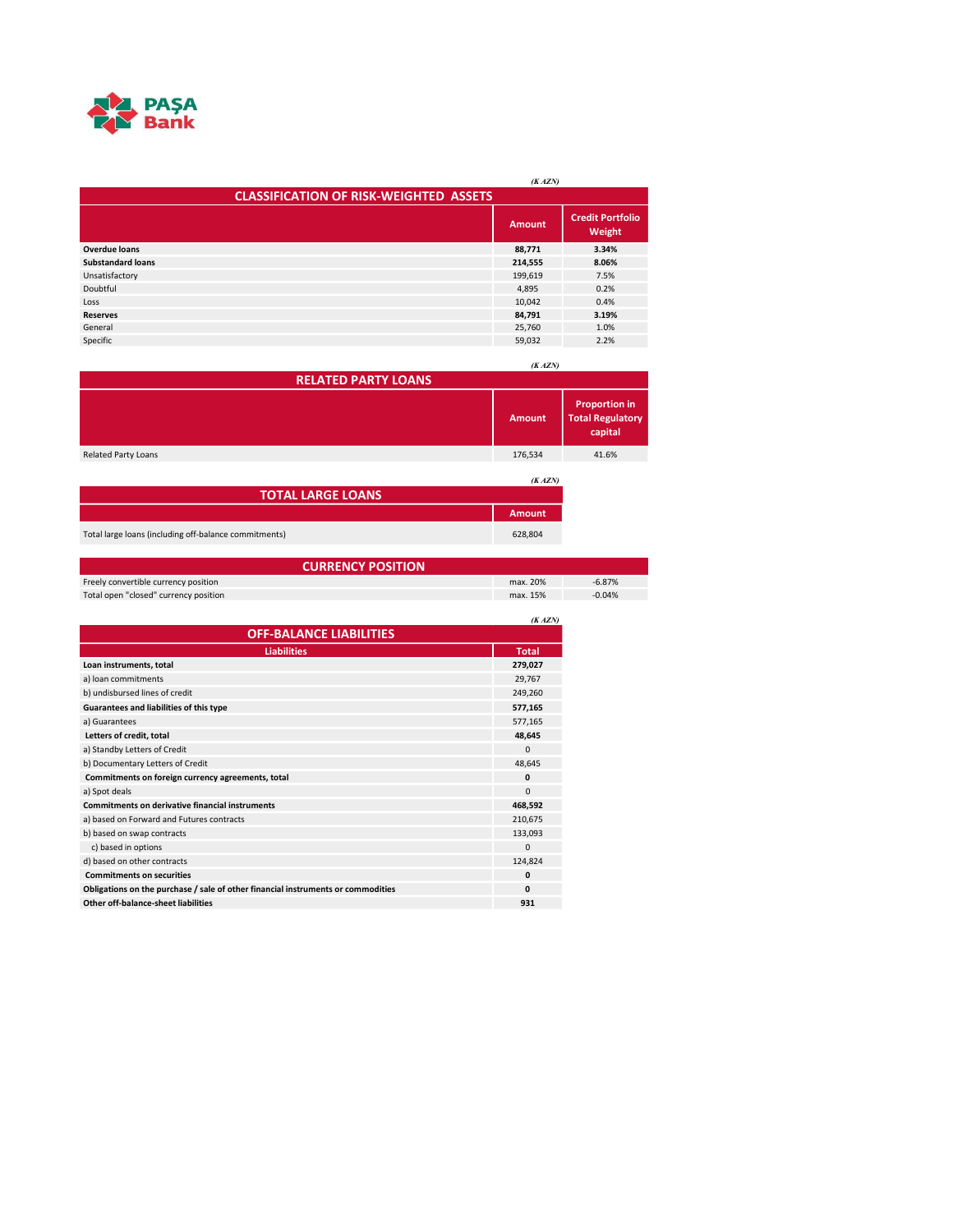

|                                               | (KAZN)        |                                   |  |
|-----------------------------------------------|---------------|-----------------------------------|--|
| <b>CLASSIFICATION OF RISK-WEIGHTED ASSETS</b> |               |                                   |  |
|                                               | <b>Amount</b> | <b>Credit Portfolio</b><br>Weight |  |
| <b>Overdue loans</b>                          | 88,771        | 3.34%                             |  |
| <b>Substandard loans</b>                      | 214,555       | 8.06%                             |  |
| Unsatisfactory                                | 199,619       | 7.5%                              |  |
| Doubtful                                      | 4,895         | 0.2%                              |  |
| Loss                                          | 10,042        | 0.4%                              |  |
| <b>Reserves</b>                               | 84,791        | 3.19%                             |  |
| General                                       | 25.760        | 1.0%                              |  |
| Specific                                      | 59,032        | 2.2%                              |  |

|                            | (KAZN)  |                                                     |
|----------------------------|---------|-----------------------------------------------------|
| <b>RELATED PARTY LOANS</b> |         |                                                     |
|                            | Amount  | <b>Proportion in</b><br>Total Regulatory<br>capital |
| <b>Related Party Loans</b> | 176,534 | 41.6%                                               |

|                                                       | (KAZN)        |
|-------------------------------------------------------|---------------|
| <b>TOTAL LARGE LOANS</b>                              |               |
|                                                       | <b>Amount</b> |
| Total large loans (including off-balance commitments) | 628.804       |

| <b>CURRENCY POSITION</b>              |          |          |
|---------------------------------------|----------|----------|
| Freely convertible currency position  | max. 20% | $-6.87%$ |
| Total open "closed" currency position | max. 15% | $-0.04%$ |

|                                                                                  | (KAZN)       |
|----------------------------------------------------------------------------------|--------------|
| <b>OFF-BALANCE LIABILITIES</b>                                                   |              |
| <b>Liabilities</b>                                                               | <b>Total</b> |
| Loan instruments, total                                                          | 279,027      |
| a) loan commitments                                                              | 29,767       |
| b) undisbursed lines of credit                                                   | 249,260      |
| Guarantees and liabilities of this type                                          | 577,165      |
| a) Guarantees                                                                    | 577,165      |
| Letters of credit, total                                                         | 48,645       |
| a) Standby Letters of Credit                                                     | $\Omega$     |
| b) Documentary Letters of Credit                                                 | 48,645       |
| Commitments on foreign currency agreements, total                                | $\mathbf{0}$ |
| a) Spot deals                                                                    | $\Omega$     |
| <b>Commitments on derivative financial instruments</b>                           | 468,592      |
| a) based on Forward and Futures contracts                                        | 210,675      |
| b) based on swap contracts                                                       | 133,093      |
| c) based in options                                                              | $\mathbf{0}$ |
| d) based on other contracts                                                      | 124,824      |
| <b>Commitments on securities</b>                                                 | 0            |
| Obligations on the purchase / sale of other financial instruments or commodities | 0            |
| Other off-balance-sheet liabilities                                              | 931          |